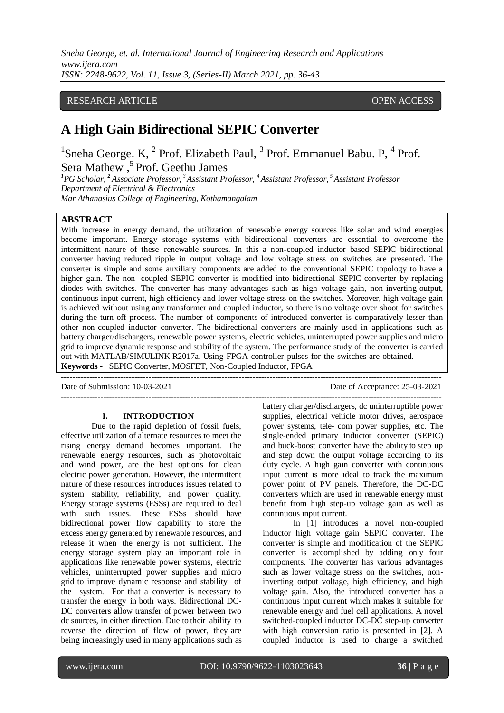## RESEARCH ARTICLE **CONSERVERS** OPEN ACCESS

# **A High Gain Bidirectional SEPIC Converter**

<sup>1</sup>Sneha George. K,  $^2$  Prof. Elizabeth Paul,  $^3$  Prof. Emmanuel Babu. P,  $^4$  Prof. Sera Mathew , <sup>5</sup>Prof. Geethu James

*<sup>1</sup>PG Scholar, <sup>2</sup> Associate Professor, <sup>3</sup> Assistant Professor, <sup>4</sup>Assistant Professor, <sup>5</sup> Assistant Professor Department of Electrical & Electronics Mar Athanasius College of Engineering, Kothamangalam*

# **ABSTRACT**

With increase in energy demand, the utilization of renewable energy sources like solar and wind energies become important. Energy storage systems with bidirectional converters are essential to overcome the intermittent nature of these renewable sources. In this a non-coupled inductor based SEPIC bidirectional converter having reduced ripple in output voltage and low voltage stress on switches are presented. The converter is simple and some auxiliary components are added to the conventional SEPIC topology to have a higher gain. The non- coupled SEPIC converter is modified into bidirectional SEPIC converter by replacing diodes with switches. The converter has many advantages such as high voltage gain, non-inverting output, continuous input current, high efficiency and lower voltage stress on the switches. Moreover, high voltage gain is achieved without using any transformer and coupled inductor, so there is no voltage over shoot for switches during the turn-off process. The number of components of introduced converter is comparatively lesser than other non-coupled inductor converter. The bidirectional converters are mainly used in applications such as battery charger/dischargers, renewable power systems, electric vehicles, uninterrupted power supplies and micro grid to improve dynamic response and stability of the system. The performance study of the converter is carried out with MATLAB/SIMULINK R2017a. Using FPGA controller pulses for the switches are obtained. **Keywords -** SEPIC Converter, MOSFET, Non-Coupled Inductor, FPGA

---------------------------------------------------------------------------------------------------------------------------------------

---------------------------------------------------------------------------------------------------------------------------------------

Date of Submission: 10-03-2021 Date of Acceptance: 25-03-2021

#### **I. INTRODUCTION**

Due to the rapid depletion of fossil fuels, effective utilization of alternate resources to meet the rising energy demand becomes important. The renewable energy resources, such as photovoltaic and wind power, are the best options for clean electric power generation. However, the intermittent nature of these resources introduces issues related to system stability, reliability, and power quality. Energy storage systems (ESSs) are required to deal with such issues. These ESSs should have bidirectional power flow capability to store the excess energy generated by renewable resources, and release it when the energy is not sufficient. The energy storage system play an important role in applications like renewable power systems, electric vehicles, uninterrupted power supplies and micro grid to improve dynamic response and stability of the system. For that a converter is necessary to transfer the energy in both ways. Bidirectional DC-DC converters allow transfer of power between two dc sources, in either direction. Due to their ability to reverse the direction of flow of power, they are being increasingly used in many applications such as battery charger/dischargers, dc uninterruptible power supplies, electrical vehicle motor drives, aerospace power systems, tele- com power supplies, etc. The single-ended primary inductor converter (SEPIC) and buck-boost converter have the ability to step up and step down the output voltage according to its duty cycle. A high gain converter with continuous input current is more ideal to track the maximum power point of PV panels. Therefore, the DC-DC converters which are used in renewable energy must benefit from high step-up voltage gain as well as continuous input current.

In [1] introduces a novel non-coupled inductor high voltage gain SEPIC converter. The converter is simple and modification of the SEPIC converter is accomplished by adding only four components. The converter has various advantages such as lower voltage stress on the switches, noninverting output voltage, high efficiency, and high voltage gain. Also, the introduced converter has a continuous input current which makes it suitable for renewable energy and fuel cell applications. A novel switched-coupled inductor DC-DC step-up converter with high conversion ratio is presented in [2]. A coupled inductor is used to charge a switched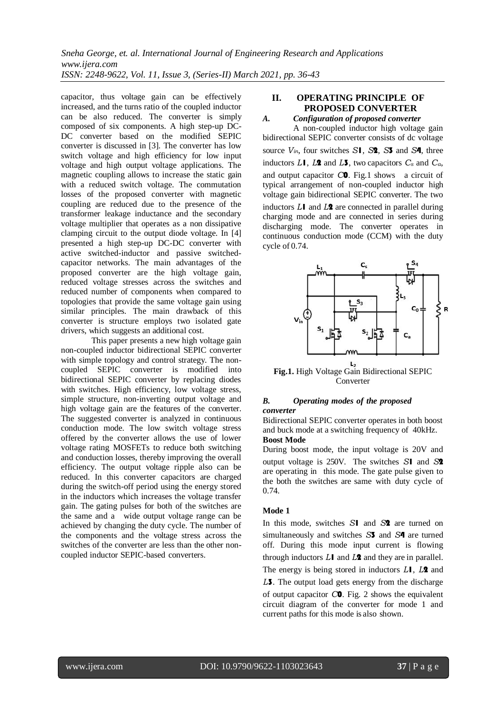capacitor, thus voltage gain can be effectively increased, and the turns ratio of the coupled inductor can be also reduced. The converter is simply composed of six components. A high step-up DC-DC converter based on the modified SEPIC converter is discussed in [3]. The converter has low switch voltage and high efficiency for low input voltage and high output voltage applications. The magnetic coupling allows to increase the static gain with a reduced switch voltage. The commutation losses of the proposed converter with magnetic coupling are reduced due to the presence of the transformer leakage inductance and the secondary voltage multiplier that operates as a non dissipative clamping circuit to the output diode voltage. In [4] presented a high step-up DC-DC converter with active switched-inductor and passive switchedcapacitor networks. The main advantages of the proposed converter are the high voltage gain, reduced voltage stresses across the switches and reduced number of components when compared to topologies that provide the same voltage gain using similar principles. The main drawback of this converter is structure employs two isolated gate drivers, which suggests an additional cost.

This paper presents a new high voltage gain non-coupled inductor bidirectional SEPIC converter with simple topology and control strategy. The noncoupled SEPIC converter is modified into bidirectional SEPIC converter by replacing diodes with switches. High efficiency, low voltage stress, simple structure, non-inverting output voltage and high voltage gain are the features of the converter. The suggested converter is analyzed in continuous conduction mode. The low switch voltage stress offered by the converter allows the use of lower voltage rating MOSFETs to reduce both switching and conduction losses, thereby improving the overall efficiency. The output voltage ripple also can be reduced. In this converter capacitors are charged during the switch-off period using the energy stored in the inductors which increases the voltage transfer gain. The gating pulses for both of the switches are the same and a wide output voltage range can be achieved by changing the duty cycle. The number of the components and the voltage stress across the switches of the converter are less than the other noncoupled inductor SEPIC-based converters.

# **II. OPERATING PRINCIPLE OF PROPOSED CONVERTER**

*A. Configuration of proposed converter* A non-coupled inductor high voltage gain bidirectional SEPIC converter consists of dc voltage source *Vin*, four switches *S*1, *S*2, *S*3 and *S*4, three inductors  $L\mathbf{l}$ ,  $L\mathbf{2}$  and  $L\mathbf{3}$ , two capacitors  $C_s$  and  $C_a$ , and output capacitor *C*0. Fig.1 shows a circuit of typical arrangement of non-coupled inductor high voltage gain bidirectional SEPIC converter. The two inductors *L*1 and *L*2 are connected in parallel during charging mode and are connected in series during discharging mode. The converter operates in continuous conduction mode (CCM) with the duty cycle of 0.74.



**Fig.1.** High Voltage Gain Bidirectional SEPIC Converter

#### *B. Operating modes of the proposed converter*

Bidirectional SEPIC converter operates in both boost and buck mode at a switching frequency of 40kHz. **Boost Mode**

During boost mode, the input voltage is 20V and output voltage is 250V. The switches *S*1 and *S*2 are operating in this mode. The gate pulse given to the both the switches are same with duty cycle of 0.74.

## **Mode 1**

In this mode, switches *S*1 and *S*2 are turned on simultaneously and switches *S*3 and *S*4 are turned off. During this mode input current is flowing through inductors *L*1 and *L*2 and they are in parallel. The energy is being stored in inductors *L*1, *L*2 and *L*3. The output load gets energy from the discharge of output capacitor *C*0. Fig. 2 shows the equivalent circuit diagram of the converter for mode 1 and current paths for this mode is also shown.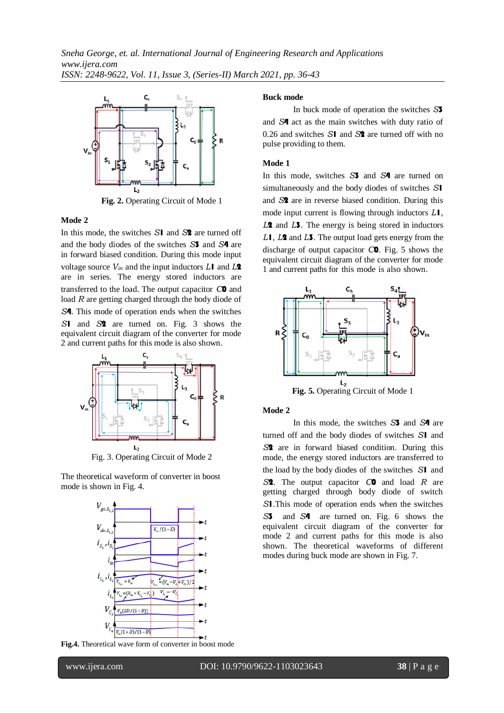

**Fig. 2.** Operating Circuit of Mode 1

#### **Mode 2**

In this mode, the switches *S*1 and *S*2 are turned off and the body diodes of the switches *S*3 and *S*4 are in forward biased condition. During this mode input voltage source *Vin* and the input inductors *L*1 and *L*2 are in series. The energy stored inductors are transferred to the load. The output capacitor *C*0 and load *R* are getting charged through the body diode of *S*4. This mode of operation ends when the switches *S*1 and *S*2 are turned on. Fig. 3 shows the equivalent circuit diagram of the converter for mode 2 and current paths for this mode is also shown.



Fig. 3. Operating Circuit of Mode 2

The theoretical waveform of converter in boost mode is shown in Fig. 4.



**Fig.4.** Theoretical wave form of converter in boost mode

#### **Buck mode**

In buck mode of operation the switches *S*3 and *S*4 act as the main switches with duty ratio of 0.26 and switches *S*1 and *S*2 are turned off with no pulse providing to them.

#### **Mode 1**

In this mode, switches *S*3 and *S*4 are turned on simultaneously and the body diodes of switches *S*1 and *S*2 are in reverse biased condition. During this mode input current is flowing through inductors *L*1, *L*2 and *L*3. The energy is being stored in inductors *L*1, *L*2 and *L*3. The output load gets energy from the discharge of output capacitor *C*0. Fig. 5 shows the equivalent circuit diagram of the converter for mode 1 and current paths for this mode is also shown.



**Fig. 5.** Operating Circuit of Mode 1

#### **Mode 2**

In this mode, the switches *S*3 and *S*4 are turned off and the body diodes of switches *S*1 and *S*2 are in forward biased condition. During this mode, the energy stored inductors are transferred to the load by the body diodes of the switches *S*1 and *S*2. The output capacitor *C*0 and load *R* are getting charged through body diode of switch *S*1.This mode of operation ends when the switches *S*3 and *S*4 are turned on. Fig. 6 shows the equivalent circuit diagram of the converter for mode 2 and current paths for this mode is also shown. The theoretical waveforms of different modes during buck mode are shown in Fig. 7.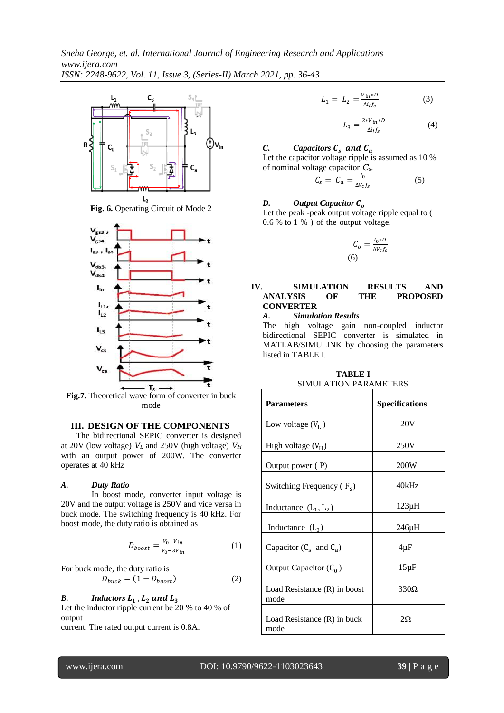

**Fig. 6.** Operating Circuit of Mode 2



**Fig.7.** Theoretical wave form of converter in buck mode

# **III. DESIGN OF THE COMPONENTS**

The bidirectional SEPIC converter is designed at 20V (low voltage) *V<sup>L</sup>* and 250V (high voltage) *V<sup>H</sup>* with an output power of 200W. The converter operates at 40 kHz

#### *A. Duty Ratio*

In boost mode, converter input voltage is 20V and the output voltage is 250V and vice versa in buck mode. The switching frequency is 40 kHz. For boost mode, the duty ratio is obtained as

$$
D_{boost} = \frac{V_0 - V_{in}}{V_0 + 3V_{in}} \tag{1}
$$

For buck mode, the duty ratio is

$$
D_{buck} = (1 - D_{boost})
$$
 (2)

## *B. Inductors*

Let the inductor ripple current be 20 % to 40 % of output

current. The rated output current is 0.8A.

$$
L_1 = L_2 = \frac{V_{in} * D}{\Delta i_l f_s} \tag{3}
$$

$$
L_3 = \frac{2 \cdot V_{in} \cdot D}{\Delta t_l f_s} \tag{4}
$$

## *C. Capacitors*  $C_s$  and  $C_a$

Let the capacitor voltage ripple is assumed as 10 % of nominal voltage capacitor *Cs*.

$$
C_s = C_a = \frac{I_0}{\Delta V_c f_s} \tag{5}
$$

# *D. Output Capacitor*

Let the peak -peak output voltage ripple equal to ( 0.6 % to 1 % ) of the output voltage.

$$
C_o = \frac{I_0 * D}{\Delta V_c f_s}
$$
\n(6)

## **IV. SIMULATION RESULTS AND ANALYSIS OF THE PROPOSED CONVERTER**

*A. Simulation Results*

The high voltage gain non-coupled inductor bidirectional SEPIC converter is simulated in MATLAB/SIMULINK by choosing the parameters listed in TABLE I.

| <b>Parameters</b>                    | <b>Specifications</b> |  |  |
|--------------------------------------|-----------------------|--|--|
| Low voltage $(V_L)$                  | 20V                   |  |  |
| High voltage $(V_H)$                 | 250V                  |  |  |
| Output power (P)                     | 200W                  |  |  |
| Switching Frequency $(F_s)$          | 40kHz                 |  |  |
| Inductance $(L_1, L_2)$              | $123\mu H$            |  |  |
| Inductance $(L_3)$                   | 246µH                 |  |  |
| Capacitor $(C_s \text{ and } C_a)$   | $4 \mu F$             |  |  |
| Output Capacitor $(C_0)$             | $15\mu F$             |  |  |
| Load Resistance (R) in boost<br>mode | $330\Omega$           |  |  |
| Load Resistance (R) in buck<br>mode  | $2\Omega$             |  |  |

**TABLE I** SIMULATION PARAMETERS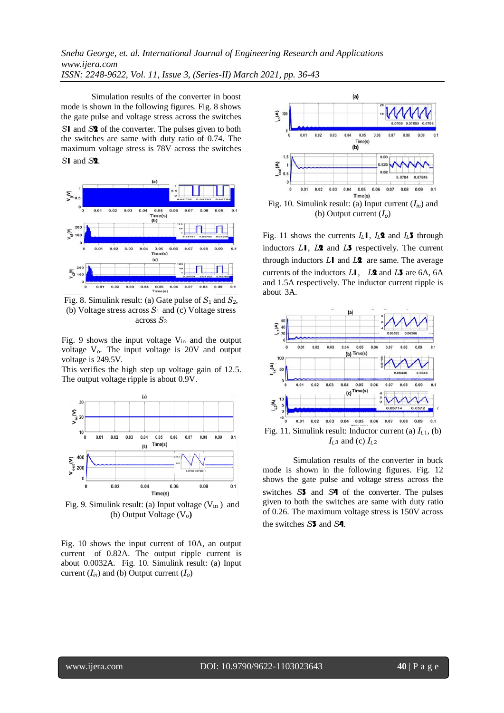Simulation results of the converter in boost mode is shown in the following figures. Fig. 8 shows the gate pulse and voltage stress across the switches *S*1 and *S*2 of the converter. The pulses given to both the switches are same with duty ratio of 0.74. The maximum voltage stress is 78V across the switches *S*1 and *S*2.



Fig. 8. Simulink result: (a) Gate pulse of *S*1 and *S*2, (b) Voltage stress across *S*<sup>1</sup> and (c) Voltage stress across *S*<sup>2</sup>

Fig. 9 shows the input voltage  $V_{in}$  and the output voltage V<sub>o</sub>. The input voltage is 20V and output voltage is 249.5V.

This verifies the high step up voltage gain of 12.5. The output voltage ripple is about 0.9V.



Fig. 9. Simulink result: (a) Input voltage  $(V_{in})$  and (b) Output Voltage (V<sub>o</sub>)

Fig. 10 shows the input current of 10A, an output current of 0.82A. The output ripple current is about 0.0032A. Fig. 10. Simulink result: (a) Input current  $(I_{in})$  and (b) Output current  $(I_{o})$ 



Fig. 10. Simulink result: (a) Input current (*Iin*) and (b) Output current (*Io*)

Fig. 11 shows the currents *IL*1, *IL*2 and *IL*3 through inductors *L*1, *L*2 and *L*3 respectively. The current through inductors *L*1 and *L*2 are same. The average currents of the inductors *L*1, *L*2 and *L*3 are 6A, 6A and 1.5A respectively. The inductor current ripple is about 3A.



Simulation results of the converter in buck mode is shown in the following figures. Fig. 12 shows the gate pulse and voltage stress across the switches *S*3 and *S*4 of the converter. The pulses given to both the switches are same with duty ratio of 0.26. The maximum voltage stress is 150V across the switches *S*3 and *S*4.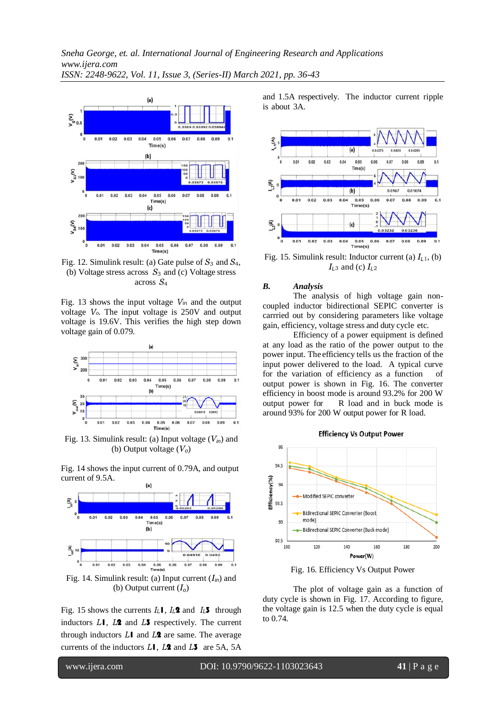

Fig. 12. Simulink result: (a) Gate pulse of *S*<sup>3</sup> and *S*4, (b) Voltage stress across *S*<sup>3</sup> and (c) Voltage stress across *S*<sup>4</sup>

Fig. 13 shows the input voltage *Vin* and the output voltage *Vo*. The input voltage is 250V and output voltage is 19.6V. This verifies the high step down voltage gain of 0.079.



Fig. 13. Simulink result: (a) Input voltage (*Vin*) and (b) Output voltage (*Vo*)

Fig. 14 shows the input current of 0.79A, and output current of 9.5A.



Fig. 14. Simulink result: (a) Input current (*Iin*) and (b) Output current (*Io*)

Fig. 15 shows the currents  $I_L$ **I**,  $I_L$ **2** and  $I_L$ **3** through inductors *L*1, *L*2 and *L*3 respectively. The current through inductors *L*1 and *L*2 are same. The average currents of the inductors *L*1, *L*2 and *L*3 are 5A, 5A and 1.5A respectively. The inductor current ripple is about 3A.



Fig. 15. Simulink result: Inductor current (a) *IL*<sup>1</sup>, (b) *IL*<sup>3</sup> and (c) *IL*<sup>2</sup>

#### *B. Analysis*

The analysis of high voltage gain noncoupled inductor bidirectional SEPIC converter is carrried out by considering parameters like voltage gain, efficiency, voltage stress and duty cycle etc.

Efficiency of a power equipment is defined at any load as the ratio of the power output to the power input. The efficiency tells us the fraction of the input power delivered to the load. A typical curve for the variation of efficiency as a function of output power is shown in Fig. 16. The converter efficiency in boost mode is around 93.2% for 200 W output power for R load and in buck mode is around 93% for 200 W output power for R load.



Fig. 16. Efficiency Vs Output Power

The plot of voltage gain as a function of duty cycle is shown in Fig. 17. According to figure, the voltage gain is 12.5 when the duty cycle is equal to 0.74.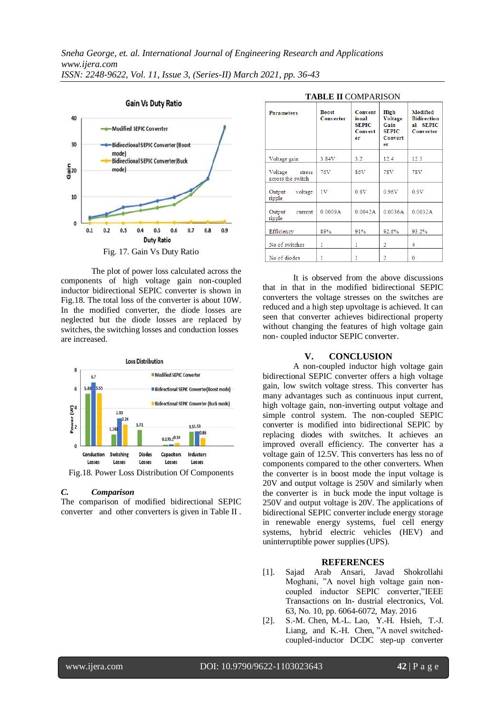

The plot of power loss calculated across the components of high voltage gain non-coupled inductor bidirectional SEPIC converter is shown in Fig.18. The total loss of the converter is about 10W. In the modified converter, the diode losses are neglected but the diode losses are replaced by switches, the switching losses and conduction losses are increased.



#### *C. Comparison*

The comparison of modified bidirectional SEPIC converter and other converters is given in Table II .

| TABLE II COMPARISON                    |                           |                                                   |                                                                 |                                                                          |  |
|----------------------------------------|---------------------------|---------------------------------------------------|-----------------------------------------------------------------|--------------------------------------------------------------------------|--|
| <b>Parameters</b>                      | <b>Boost</b><br>Converter | Convent<br>ional<br><b>SEPIC</b><br>Convert<br>er | High<br>Voltage<br>Gain<br><b>SEPIC</b><br><b>Convert</b><br>er | Modified<br><b>Bidirection</b><br><b>SEPIC</b><br>al<br><b>Converter</b> |  |
| Voltage gain                           | 3.84V                     | 3.2                                               | 12.4                                                            | 12.5                                                                     |  |
| Voltage<br>stress<br>across the switch | 76V                       | 86V                                               | 78V                                                             | 78V                                                                      |  |
| voltage<br>Output<br>ripple            | 1V                        | 0.8V                                              | 0.96V                                                           | 0.9V                                                                     |  |
| Output<br>current<br>ripple            | 0.0009A                   | 0.0042A                                           | 0.0036A                                                         | 0.0032A                                                                  |  |
| Efficiency                             | 89%                       | 91%                                               | 92.6%                                                           | 93.2%                                                                    |  |
| No of switches                         | 1                         | 1                                                 | 2                                                               | 4                                                                        |  |
| No of diodes                           | 1                         | 1                                                 | 2                                                               | 0                                                                        |  |

# **DI E II COMPARISONE**

It is observed from the above discussions that in that in the modified bidirectional SEPIC converters the voltage stresses on the switches are reduced and a high step upvoltage is achieved. It can seen that converter achieves bidirectional property without changing the features of high voltage gain non- coupled inductor SEPIC converter.

#### **V. CONCLUSION**

A non-coupled inductor high voltage gain bidirectional SEPIC converter offers a high voltage gain, low switch voltage stress. This converter has many advantages such as continuous input current, high voltage gain, non-inverting output voltage and simple control system. The non-coupled SEPIC converter is modified into bidirectional SEPIC by replacing diodes with switches. It achieves an improved overall efficiency. The converter has a voltage gain of 12.5V. This converters has less no of components compared to the other converters. When the converter is in boost mode the input voltage is 20V and output voltage is 250V and similarly when the converter is in buck mode the input voltage is 250V and output voltage is 20V. The applications of bidirectional SEPIC converter include energy storage in renewable energy systems, fuel cell energy systems, hybrid electric vehicles (HEV) and uninterruptible power supplies(UPS).

## **REFERENCES**

- [1]. Sajad Arab Ansari, Javad Shokrollahi Moghani, "A novel high voltage gain noncoupled inductor SEPIC converter,"IEEE Transactions on In- dustrial electronics, Vol. 63, No. 10, pp. 6064-6072, May. 2016
- [2]. S.-M. Chen, M.-L. Lao, Y.-H. Hsieh, T.-J. Liang, and K.-H. Chen, "A novel switchedcoupled-inductor DCDC step-up converter